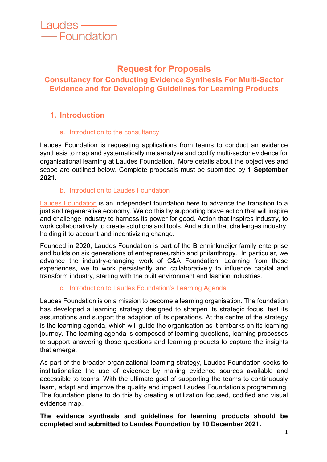

# **Request for Proposals**

# **Consultancy for Conducting Evidence Synthesis For Multi-Sector Evidence and for Developing Guidelines for Learning Products**

# **1. Introduction**

#### a. Introduction to the consultancy

Laudes Foundation is requesting applications from teams to conduct an evidence synthesis to map and systematically metaanalyse and codify multi-sector evidence for organisational learning at Laudes Foundation. More details about the objectives and scope are outlined below. Complete proposals must be submitted by **1 September 2021.**

### b. Introduction to Laudes Foundation

Laudes Foundation is an independent foundation here to advance the transition to a just and regenerative economy. We do this by supporting brave action that will inspire and challenge industry to harness its power for good. Action that inspires industry, to work collaboratively to create solutions and tools. And action that challenges industry, holding it to account and incentivizing change.

Founded in 2020, Laudes Foundation is part of the Brenninkmeijer family enterprise and builds on six generations of entrepreneurship and philanthropy. In particular, we advance the industry-changing work of C&A Foundation. Learning from these experiences, we to work persistently and collaboratively to influence capital and transform industry, starting with the built environment and fashion industries.

### c. Introduction to Laudes Foundation's Learning Agenda

Laudes Foundation is on a mission to become a learning organisation. The foundation has developed a learning strategy designed to sharpen its strategic focus, test its assumptions and support the adaption of its operations. At the centre of the strategy is the learning agenda, which will guide the organisation as it embarks on its learning journey. The learning agenda is composed of learning questions, learning processes to support answering those questions and learning products to capture the insights that emerge.

As part of the broader organizational learning strategy, Laudes Foundation seeks to institutionalize the use of evidence by making evidence sources available and accessible to teams. With the ultimate goal of supporting the teams to continuously learn, adapt and improve the quality and impact Laudes Foundation's programming. The foundation plans to do this by creating a utilization focused, codified and visual evidence map..

### **The evidence synthesis and guidelines for learning products should be completed and submitted to Laudes Foundation by 10 December 2021.**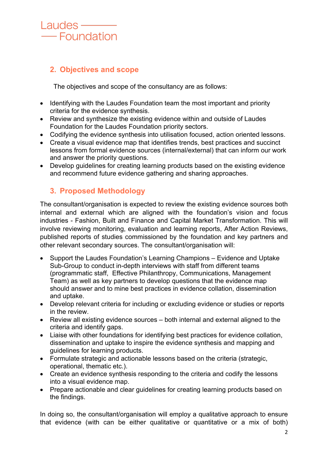# Laudes — - Foundation

# **2. Objectives and scope**

The objectives and scope of the consultancy are as follows:

- Identifying with the Laudes Foundation team the most important and priority criteria for the evidence synthesis.
- Review and synthesize the existing evidence within and outside of Laudes Foundation for the Laudes Foundation priority sectors.
- Codifying the evidence synthesis into utilisation focused, action oriented lessons.
- Create a visual evidence map that identifies trends, best practices and succinct lessons from formal evidence sources (internal/external) that can inform our work and answer the priority questions.
- Develop guidelines for creating learning products based on the existing evidence and recommend future evidence gathering and sharing approaches.

# **3. Proposed Methodology**

The consultant/organisation is expected to review the existing evidence sources both internal and external which are aligned with the foundation's vision and focus industries - Fashion, Built and Finance and Capital Market Transformation. This will involve reviewing monitoring, evaluation and learning reports, After Action Reviews, published reports of studies commissioned by the foundation and key partners and other relevant secondary sources. The consultant/organisation will:

- Support the Laudes Foundation's Learning Champions Evidence and Uptake Sub-Group to conduct in-depth interviews with staff from different teams (programmatic staff, Effective Philanthropy, Communications, Management Team) as well as key partners to develop questions that the evidence map should answer and to mine best practices in evidence collation, dissemination and uptake.
- Develop relevant criteria for including or excluding evidence or studies or reports in the review.
- Review all existing evidence sources both internal and external aligned to the criteria and identify gaps.
- Liaise with other foundations for identifying best practices for evidence collation, dissemination and uptake to inspire the evidence synthesis and mapping and guidelines for learning products.
- Formulate strategic and actionable lessons based on the criteria (strategic, operational, thematic etc.).
- Create an evidence synthesis responding to the criteria and codify the lessons into a visual evidence map.
- Prepare actionable and clear quidelines for creating learning products based on the findings.

In doing so, the consultant/organisation will employ a qualitative approach to ensure that evidence (with can be either qualitative or quantitative or a mix of both)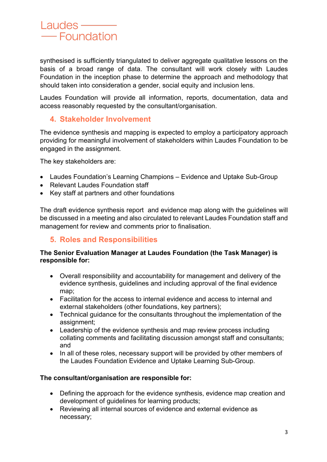synthesised is sufficiently triangulated to deliver aggregate qualitative lessons on the basis of a broad range of data. The consultant will work closely with Laudes Foundation in the inception phase to determine the approach and methodology that should taken into consideration a gender, social equity and inclusion lens.

Laudes Foundation will provide all information, reports, documentation, data and access reasonably requested by the consultant/organisation.

## **4. Stakeholder Involvement**

The evidence synthesis and mapping is expected to employ a participatory approach providing for meaningful involvement of stakeholders within Laudes Foundation to be engaged in the assignment.

The key stakeholders are:

- Laudes Foundation's Learning Champions Evidence and Uptake Sub-Group
- Relevant Laudes Foundation staff
- Key staff at partners and other foundations

The draft evidence synthesis report and evidence map along with the guidelines will be discussed in a meeting and also circulated to relevant Laudes Foundation staff and management for review and comments prior to finalisation.

## **5. Roles and Responsibilities**

#### **The Senior Evaluation Manager at Laudes Foundation (the Task Manager) is responsible for:**

- Overall responsibility and accountability for management and delivery of the evidence synthesis, guidelines and including approval of the final evidence map;
- Facilitation for the access to internal evidence and access to internal and external stakeholders (other foundations, key partners);
- Technical guidance for the consultants throughout the implementation of the assignment;
- Leadership of the evidence synthesis and map review process including collating comments and facilitating discussion amongst staff and consultants; and
- In all of these roles, necessary support will be provided by other members of the Laudes Foundation Evidence and Uptake Learning Sub-Group.

### **The consultant/organisation are responsible for:**

- Defining the approach for the evidence synthesis, evidence map creation and development of guidelines for learning products;
- Reviewing all internal sources of evidence and external evidence as necessary;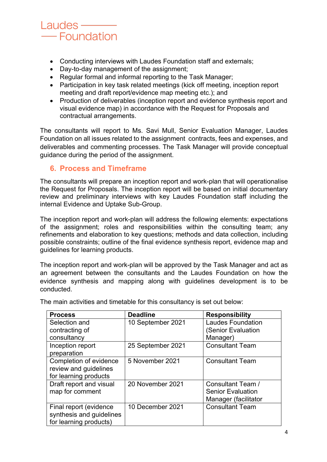# Laudes — - Foundation

- Conducting interviews with Laudes Foundation staff and externals;
- Day-to-day management of the assignment;
- Regular formal and informal reporting to the Task Manager;
- Participation in key task related meetings (kick off meeting, inception report meeting and draft report/evidence map meeting etc.); and
- Production of deliverables (inception report and evidence synthesis report and visual evidence map) in accordance with the Request for Proposals and contractual arrangements.

The consultants will report to Ms. Savi Mull, Senior Evaluation Manager, Laudes Foundation on all issues related to the assignment contracts, fees and expenses, and deliverables and commenting processes. The Task Manager will provide conceptual guidance during the period of the assignment.

# **6. Process and Timeframe**

The consultants will prepare an inception report and work-plan that will operationalise the Request for Proposals. The inception report will be based on initial documentary review and preliminary interviews with key Laudes Foundation staff including the internal Evidence and Uptake Sub-Group.

The inception report and work-plan will address the following elements: expectations of the assignment; roles and responsibilities within the consulting team; any refinements and elaboration to key questions; methods and data collection, including possible constraints; outline of the final evidence synthesis report, evidence map and guidelines for learning products.

The inception report and work-plan will be approved by the Task Manager and act as an agreement between the consultants and the Laudes Foundation on how the evidence synthesis and mapping along with guidelines development is to be conducted.

| <b>Process</b>           | <b>Deadline</b>   | <b>Responsibility</b>    |
|--------------------------|-------------------|--------------------------|
| Selection and            | 10 September 2021 | <b>Laudes Foundation</b> |
| contracting of           |                   | (Senior Evaluation       |
| consultancy              |                   | Manager)                 |
| Inception report         | 25 September 2021 | <b>Consultant Team</b>   |
| preparation              |                   |                          |
| Completion of evidence   | 5 November 2021   | <b>Consultant Team</b>   |
| review and guidelines    |                   |                          |
| for learning products    |                   |                          |
| Draft report and visual  | 20 November 2021  | Consultant Team /        |
| map for comment          |                   | <b>Senior Evaluation</b> |
|                          |                   | Manager (facilitator     |
| Final report (evidence)  | 10 December 2021  | <b>Consultant Team</b>   |
| synthesis and guidelines |                   |                          |
| for learning products)   |                   |                          |

The main activities and timetable for this consultancy is set out below: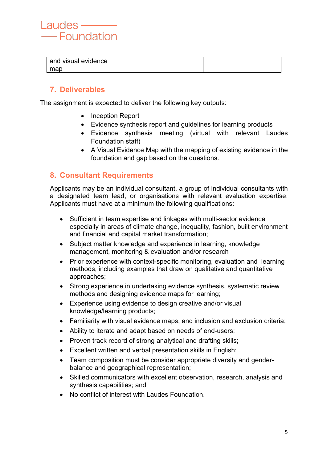

| and visual evidence |  |
|---------------------|--|
| map                 |  |

# **7. Deliverables**

The assignment is expected to deliver the following key outputs:

- Inception Report
- Evidence synthesis report and guidelines for learning products
- Evidence synthesis meeting (virtual with relevant Laudes Foundation staff)
- A Visual Evidence Map with the mapping of existing evidence in the foundation and gap based on the questions.

### **8. Consultant Requirements**

Applicants may be an individual consultant, a group of individual consultants with a designated team lead, or organisations with relevant evaluation expertise. Applicants must have at a minimum the following qualifications:

- Sufficient in team expertise and linkages with multi-sector evidence especially in areas of climate change, inequality, fashion, built environment and financial and capital market transformation;
- Subject matter knowledge and experience in learning, knowledge management, monitoring & evaluation and/or research
- Prior experience with context-specific monitoring, evaluation and learning methods, including examples that draw on qualitative and quantitative approaches;
- Strong experience in undertaking evidence synthesis, systematic review methods and designing evidence maps for learning;
- Experience using evidence to design creative and/or visual knowledge/learning products;
- Familiarity with visual evidence maps, and inclusion and exclusion criteria;
- Ability to iterate and adapt based on needs of end-users;
- Proven track record of strong analytical and drafting skills;
- Excellent written and verbal presentation skills in English;
- Team composition must be consider appropriate diversity and genderbalance and geographical representation;
- Skilled communicators with excellent observation, research, analysis and synthesis capabilities; and
- No conflict of interest with Laudes Foundation.